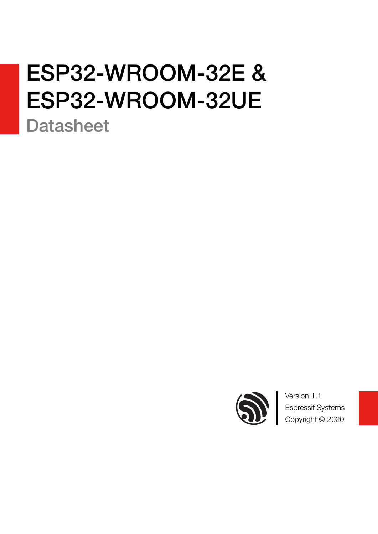# ESP32-WROOM-32E & ESP32-WROOM-32UE

**Datasheet** 



Version 1.1 Espressif Systems Copyright © 2020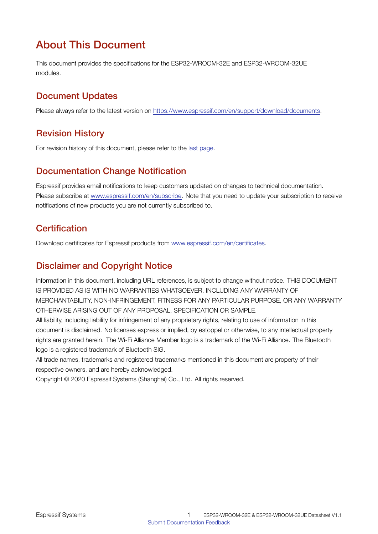# About This Document

This document provides the specifications for the ESP32-WROOM-32E and ESP32-WROOM-32UE modules.

# Document Updates

Please always refer to the latest version on <https://www.espressif.com/en/support/download/documents>.

# Revision History

For revision history of this document, please refer to the [last page](#page-32-0).

# Documentation Change Notification

Espressif provides email notifications to keep customers updated on changes to technical documentation. Please subscribe at [www.espressif.com/en/subscribe.](http://espressif.com/en/subscribe) Note that you need to update your subscription to receive notifications of new products you are not currently subscribed to.

# **Certification**

Download certificates for Espressif products from [www.espressif.com/en/certificates](http://espressif.com/en/certificates).

# Disclaimer and Copyright Notice

Information in this document, including URL references, is subject to change without notice. THIS DOCUMENT IS PROVIDED AS IS WITH NO WARRANTIES WHATSOEVER, INCLUDING ANY WARRANTY OF MERCHANTABILITY, NON-INFRINGEMENT, FITNESS FOR ANY PARTICULAR PURPOSE, OR ANY WARRANTY OTHERWISE ARISING OUT OF ANY PROPOSAL, SPECIFICATION OR SAMPLE.

All liability, including liability for infringement of any proprietary rights, relating to use of information in this document is disclaimed. No licenses express or implied, by estoppel or otherwise, to any intellectual property rights are granted herein. The Wi-Fi Alliance Member logo is a trademark of the Wi-Fi Alliance. The Bluetooth logo is a registered trademark of Bluetooth SIG.

All trade names, trademarks and registered trademarks mentioned in this document are property of their respective owners, and are hereby acknowledged.

Copyright © 2020 Espressif Systems (Shanghai) Co., Ltd. All rights reserved.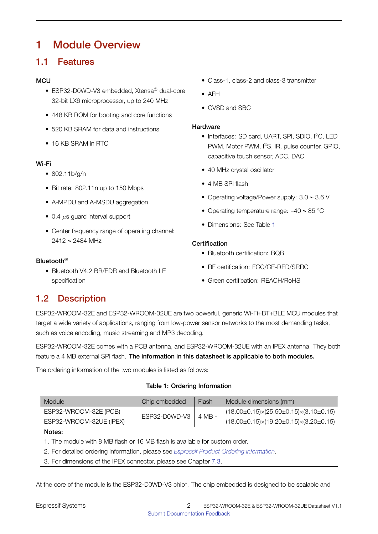# <span id="page-2-1"></span>1 Module Overview

# <span id="page-2-2"></span>1.1 Features

### **MCU**

- ESP32-D0WD-V3 embedded, Xtensa® dual-core 32-bit LX6 microprocessor, up to 240 MHz
- 448 KB ROM for booting and core functions
- 520 KB SRAM for data and instructions
- 16 KB SRAM in RTC

### Wi-Fi

- 802.11b/g/n
- Bit rate: 802.11n up to 150 Mbps
- A-MPDU and A-MSDU aggregation
- 0.4 *µ*s guard interval support
- Center frequency range of operating channel: 2412 ~ 2484 MHz

### Bluetooth®

<span id="page-2-3"></span>• Bluetooth V4.2 BR/EDR and Bluetooth LE specification

- Class-1, class-2 and class-3 transmitter
- AFH
- CVSD and SBC

#### **Hardware**

- Interfaces: SD card, UART, SPI, SDIO, I2C, LED PWM, Motor PWM, I<sup>2</sup>S, IR, pulse counter, GPIO, capacitive touch sensor, ADC, DAC
- 40 MHz crystal oscillator
- 4 MB SPI flash
- Operating voltage/Power supply: 3.0 ~ 3.6 V
- Operating temperature range:  $-40 \sim 85$  °C
- Dimensions: See Table [1](#page-2-0)

### **Certification**

- Bluetooth certification: BQB
- RF certification: FCC/CE-RED/SRRC
- Green certification: REACH/RoHS

# 1.2 Description

ESP32-WROOM-32E and ESP32-WROOM-32UE are two powerful, generic Wi-Fi+BT+BLE MCU modules that target a wide variety of applications, ranging from low-power sensor networks to the most demanding tasks, such as voice encoding, music streaming and MP3 decoding.

ESP32-WROOM-32E comes with a PCB antenna, and ESP32-WROOM-32UE with an IPEX antenna. They both feature a 4 MB external SPI flash. The information in this datasheet is applicable to both modules.

<span id="page-2-0"></span>The ordering information of the two modules is listed as follows:

#### Table 1: Ordering Information

| Module                                                                                   | Chip embedded | Flash    | Module dimensions (mm)                                  |  |  |
|------------------------------------------------------------------------------------------|---------------|----------|---------------------------------------------------------|--|--|
| ESP32-WROOM-32E (PCB)                                                                    | ESP32-D0WD-V3 | 4 MB $1$ | $(18.00\pm0.15)\times(25.50\pm0.15)\times(3.10\pm0.15)$ |  |  |
| ESP32-WROOM-32UE (IPEX)                                                                  |               |          | $(18.00\pm0.15)\times(19.20\pm0.15)\times(3.20\pm0.15)$ |  |  |
| Notes:                                                                                   |               |          |                                                         |  |  |
| 1. The module with 8 MB flash or 16 MB flash is available for custom order.              |               |          |                                                         |  |  |
| 2. For detailed ordering information, please see Espressif Product Ordering Information. |               |          |                                                         |  |  |

3. For dimensions of the IPEX connector, please see Chapter [7.3](#page-29-0).

At the core of the module is the ESP32-D0WD-V3 chip\*. The chip embedded is designed to be scalable and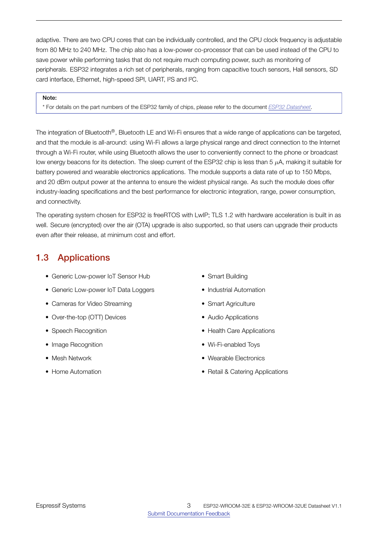adaptive. There are two CPU cores that can be individually controlled, and the CPU clock frequency is adjustable from 80 MHz to 240 MHz. The chip also has a low-power co-processor that can be used instead of the CPU to save power while performing tasks that do not require much computing power, such as monitoring of peripherals. ESP32 integrates a rich set of peripherals, ranging from capacitive touch sensors, Hall sensors, SD card interface, Ethernet, high-speed SPI, UART, I²S and I²C.

#### Note:

\* For details on the part numbers of the ESP32 family of chips, please refer to the document *[ESP32 Datasheet](http://espressif.com/sites/default/files/documentation/esp32_datasheet_en.pdf)*.

The integration of Bluetooth®, Bluetooth LE and Wi-Fi ensures that a wide range of applications can be targeted, and that the module is all-around: using Wi-Fi allows a large physical range and direct connection to the Internet through a Wi-Fi router, while using Bluetooth allows the user to conveniently connect to the phone or broadcast low energy beacons for its detection. The sleep current of the ESP32 chip is less than 5 *µ*A, making it suitable for battery powered and wearable electronics applications. The module supports a data rate of up to 150 Mbps, and 20 dBm output power at the antenna to ensure the widest physical range. As such the module does offer industry-leading specifications and the best performance for electronic integration, range, power consumption, and connectivity.

The operating system chosen for ESP32 is freeRTOS with LwIP; TLS 1.2 with hardware acceleration is built in as well. Secure (encrypted) over the air (OTA) upgrade is also supported, so that users can upgrade their products even after their release, at minimum cost and effort.

# <span id="page-3-0"></span>1.3 Applications

- Generic Low-power IoT Sensor Hub
- Generic Low-power IoT Data Loggers
- Cameras for Video Streaming
- Over-the-top (OTT) Devices
- Speech Recognition
- Image Recognition
- Mesh Network
- Home Automation
- Smart Building
- Industrial Automation
- Smart Agriculture
- Audio Applications
- Health Care Applications
- Wi-Fi-enabled Toys
- Wearable Electronics
- Retail & Catering Applications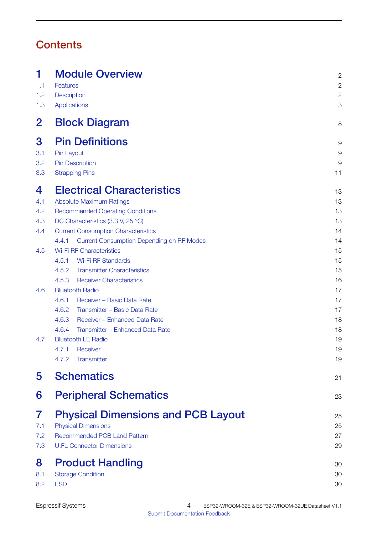# **Contents**

| 1<br>1.1<br>1.2<br>1.3 | <b>Module Overview</b><br>Features<br>Description<br><b>Applications</b> | $\overline{c}$<br>$\overline{c}$<br>$\overline{c}$<br>3 |
|------------------------|--------------------------------------------------------------------------|---------------------------------------------------------|
| $\mathbf{2}$           | <b>Block Diagram</b>                                                     | 8                                                       |
| 3                      | <b>Pin Definitions</b>                                                   | 9                                                       |
| 3.1                    | Pin Layout                                                               | 9                                                       |
| 3.2                    | <b>Pin Description</b>                                                   | 9                                                       |
| 3.3                    | <b>Strapping Pins</b>                                                    | 11                                                      |
| 4                      | <b>Electrical Characteristics</b>                                        | 13                                                      |
| 4.1                    | <b>Absolute Maximum Ratings</b>                                          | 13                                                      |
| 4.2                    | <b>Recommended Operating Conditions</b>                                  | 13                                                      |
| 4.3                    | DC Characteristics (3.3 V, 25 °C)                                        | 13                                                      |
| 4.4                    | <b>Current Consumption Characteristics</b>                               | 14                                                      |
|                        | <b>Current Consumption Depending on RF Modes</b><br>4.4.1                | 14                                                      |
| 4.5                    | <b>Wi-Fi RF Characteristics</b>                                          | 15                                                      |
|                        | <b>Wi-Fi RF Standards</b><br>4.5.1                                       | 15                                                      |
|                        | 4.5.2<br><b>Transmitter Characteristics</b>                              | 15                                                      |
|                        | 4.5.3<br><b>Receiver Characteristics</b>                                 | 16                                                      |
| 4.6                    | <b>Bluetooth Radio</b>                                                   | 17                                                      |
|                        | 4.6.1<br>Receiver - Basic Data Rate                                      | 17                                                      |
|                        | 4.6.2<br>Transmitter - Basic Data Rate                                   | 17                                                      |
|                        | 4.6.3<br>Receiver - Enhanced Data Rate                                   | 18                                                      |
|                        | 4.6.4<br>Transmitter - Enhanced Data Rate                                | 18                                                      |
| 4.7                    | <b>Bluetooth LE Radio</b>                                                | 19                                                      |
|                        | 4.7.1 Receiver                                                           | 19                                                      |
|                        | 4.7.2<br>Transmitter                                                     | 19                                                      |
| 5                      | <b>Schematics</b>                                                        | 21                                                      |
| 6                      | <b>Peripheral Schematics</b>                                             | 23                                                      |
| 7                      | <b>Physical Dimensions and PCB Layout</b>                                | 25                                                      |
| 7.1                    | <b>Physical Dimensions</b>                                               | 25                                                      |
| 7.2                    | <b>Recommended PCB Land Pattern</b>                                      | 27                                                      |
| 7.3                    | <b>U.FL Connector Dimensions</b>                                         | 29                                                      |
| 8                      | <b>Product Handling</b>                                                  | 30                                                      |
| 8.1                    | <b>Storage Condition</b>                                                 | 30                                                      |
| 8.2                    | <b>ESD</b>                                                               | 30                                                      |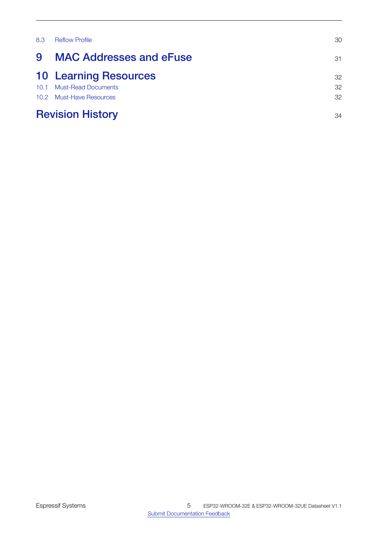| 8.3  | <b>Reflow Profile</b>          | 30 |
|------|--------------------------------|----|
| 9    | <b>MAC Addresses and eFuse</b> | 31 |
|      | <b>10 Learning Resources</b>   | 32 |
| 10.1 | <b>Must-Read Documents</b>     | 32 |
|      | 10.2 Must-Have Resources       | 32 |
|      | <b>Revision History</b>        | 34 |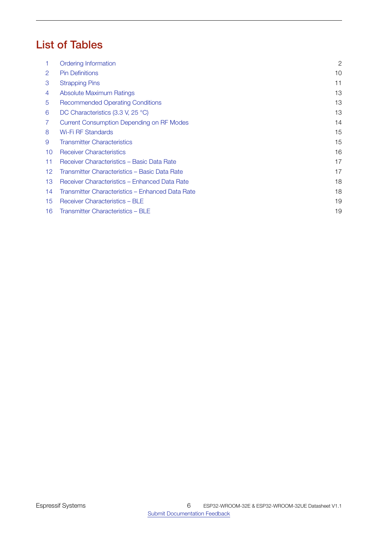# List of Tables

| 1. | Ordering Information                             | $\mathbf{2}$ |
|----|--------------------------------------------------|--------------|
| 2  | <b>Pin Definitions</b>                           | 10           |
| 3  | <b>Strapping Pins</b>                            | 11           |
| 4  | <b>Absolute Maximum Ratings</b>                  | 13           |
| 5  | <b>Recommended Operating Conditions</b>          | 13           |
| 6  | DC Characteristics (3.3 V, 25 °C)                | 13           |
| 7  | <b>Current Consumption Depending on RF Modes</b> | 14           |
| 8  | Wi-Fi RF Standards                               | 15           |
| 9  | <b>Transmitter Characteristics</b>               | 15           |
| 10 | <b>Receiver Characteristics</b>                  | 16           |
| 11 | Receiver Characteristics - Basic Data Rate       | 17           |
| 12 | Transmitter Characteristics - Basic Data Rate    | 17           |
| 13 | Receiver Characteristics - Enhanced Data Rate    | 18           |
| 14 | Transmitter Characteristics - Enhanced Data Rate | 18           |
| 15 | Receiver Characteristics - BLE                   | 19           |
| 16 | Transmitter Characteristics - BLE                | 19           |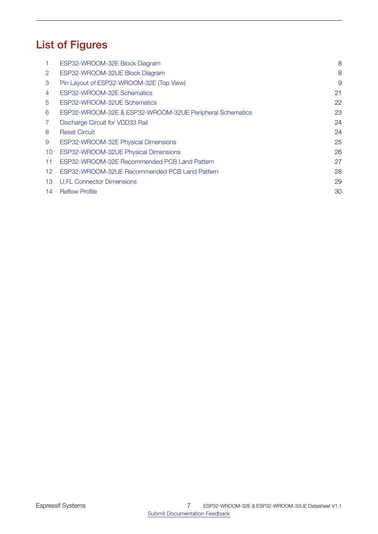# List of Figures

|    | ESP32-WROOM-32E Block Diagram                            | 8  |
|----|----------------------------------------------------------|----|
| 2  | ESP32-WROOM-32UE Block Diagram                           | 8  |
| 3  | Pin Layout of ESP32-WROOM-32E (Top View)                 | 9  |
| 4  | ESP32-WROOM-32E Schematics                               | 21 |
| 5  | ESP32-WROOM-32UE Schematics                              | 22 |
| 6  | ESP32-WROOM-32E & ESP32-WROOM-32UE Peripheral Schematics | 23 |
|    | <b>Discharge Circuit for VDD33 Rail</b>                  | 24 |
| 8  | <b>Reset Circuit</b>                                     | 24 |
| 9  | ESP32-WROOM-32E Physical Dimensions                      | 25 |
| 10 | ESP32-WROOM-32UE Physical Dimensions                     | 26 |
| 11 | ESP32-WROOM-32E Recommended PCB Land Pattern             | 27 |
| 12 | ESP32-WROOM-32UE Recommended PCB Land Pattern            | 28 |
| 13 | <b>U.FL Connector Dimensions</b>                         | 29 |
| 14 | <b>Reflow Profile</b>                                    | 30 |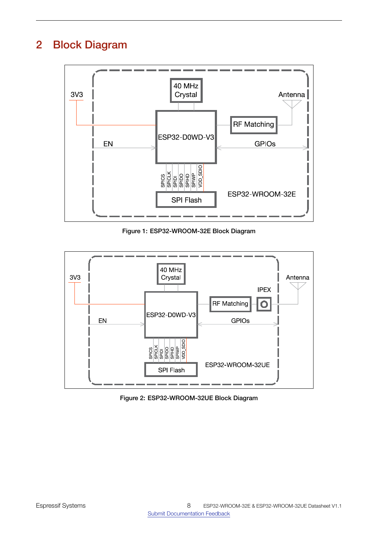# <span id="page-8-1"></span><span id="page-8-0"></span>2 Block Diagram



Figure 1: ESP32-WROOM-32E Block Diagram

<span id="page-8-2"></span>

Figure 2: ESP32-WROOM-32UE Block Diagram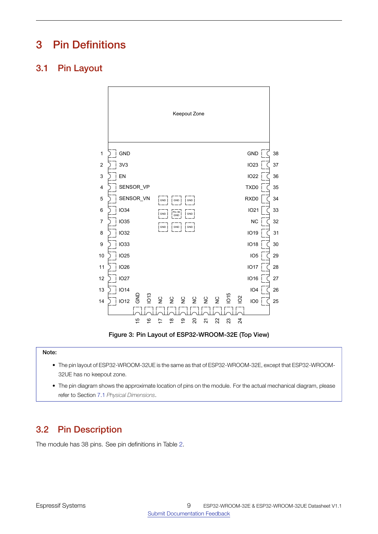# <span id="page-9-0"></span>3 Pin Definitions

# <span id="page-9-4"></span><span id="page-9-1"></span>3.1 Pin Layout



Figure 3: Pin Layout of ESP32-WROOM-32E (Top View)

#### Note:

- The pin layout of ESP32-WROOM-32UE is the same as that of ESP32-WROOM-32E, except that ESP32-WROOM-32UE has no keepout zone.
- The pin diagram shows the approximate location of pins on the module. For the actual mechanical diagram, please refer to Section [7.1](#page-25-0) *Physical Dimensions*.

# <span id="page-9-2"></span>3.2 Pin Description

<span id="page-9-3"></span>The module has 38 pins. See pin definitions in Table [2.](#page-9-3)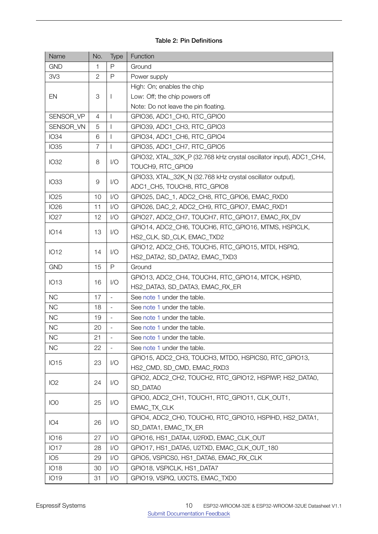### Table 2: Pin Definitions

| Name            | No.            | Type                     | Function                                                            |  |  |  |  |
|-----------------|----------------|--------------------------|---------------------------------------------------------------------|--|--|--|--|
| <b>GND</b>      | 1              | P                        | Ground                                                              |  |  |  |  |
| 3V <sub>3</sub> | $\mathbf{2}$   | $\mathsf{P}$             | Power supply                                                        |  |  |  |  |
|                 |                |                          | High: On; enables the chip                                          |  |  |  |  |
| EN              | 3              | T                        | Low: Off; the chip powers off                                       |  |  |  |  |
|                 |                |                          | Note: Do not leave the pin floating.                                |  |  |  |  |
| SENSOR_VP       | 4              | I.                       | GPIO36, ADC1_CH0, RTC_GPIO0                                         |  |  |  |  |
| SENSOR_VN       | 5              | $\overline{\phantom{a}}$ | GPIO39, ADC1 CH3, RTC GPIO3                                         |  |  |  |  |
| <b>IO34</b>     | 6              | T                        | GPIO34, ADC1_CH6, RTC_GPIO4                                         |  |  |  |  |
| <b>IO35</b>     | $\overline{7}$ | $\mathbf{I}$             | GPIO35, ADC1_CH7, RTC_GPIO5                                         |  |  |  |  |
| <b>IO32</b>     | 8              | 1/O                      | GPIO32, XTAL_32K_P (32.768 kHz crystal oscillator input), ADC1_CH4, |  |  |  |  |
|                 |                |                          | TOUCH9, RTC_GPIO9                                                   |  |  |  |  |
| <b>IO33</b>     | 9              | 1/O                      | GPIO33, XTAL_32K_N (32.768 kHz crystal oscillator output),          |  |  |  |  |
|                 |                |                          | ADC1_CH5, TOUCH8, RTC_GPIO8                                         |  |  |  |  |
| <b>IO25</b>     | 10             | 1/O                      | GPIO25, DAC_1, ADC2_CH8, RTC_GPIO6, EMAC_RXD0                       |  |  |  |  |
| <b>IO26</b>     | 11             | 1/O                      | GPIO26, DAC_2, ADC2_CH9, RTC_GPIO7, EMAC_RXD1                       |  |  |  |  |
| <b>IO27</b>     | 12             | $\mathsf{I}/\mathsf{O}$  | GPIO27, ADC2_CH7, TOUCH7, RTC_GPIO17, EMAC_RX_DV                    |  |  |  |  |
| <b>IO14</b>     | 13             | 1/O                      | GPIO14, ADC2_CH6, TOUCH6, RTC_GPIO16, MTMS, HSPICLK,                |  |  |  |  |
|                 |                |                          | HS2_CLK, SD_CLK, EMAC_TXD2                                          |  |  |  |  |
|                 | 14             | 1/O                      | GPIO12, ADC2_CH5, TOUCH5, RTC_GPIO15, MTDI, HSPIQ,                  |  |  |  |  |
| <b>IO12</b>     |                |                          | HS2_DATA2, SD_DATA2, EMAC_TXD3                                      |  |  |  |  |
| <b>GND</b>      | 15             | P                        | Ground                                                              |  |  |  |  |
| <b>IO13</b>     | 16             | 1/O                      | GPIO13, ADC2_CH4, TOUCH4, RTC_GPIO14, MTCK, HSPID,                  |  |  |  |  |
|                 |                |                          | HS2_DATA3, SD_DATA3, EMAC_RX_ER                                     |  |  |  |  |
| <b>NC</b>       | 17             | $\overline{a}$           | See note 1 under the table.                                         |  |  |  |  |
| <b>NC</b>       | 18             | $\overline{\phantom{a}}$ | See note 1 under the table.                                         |  |  |  |  |
| <b>NC</b>       | 19             |                          | See note 1 under the table.                                         |  |  |  |  |
| <b>NC</b>       | 20             |                          | See note 1 under the table.                                         |  |  |  |  |
| <b>NC</b>       | 21             | $\blacksquare$           | See note 1 under the table.                                         |  |  |  |  |
| <b>NC</b>       | 22             |                          | See note 1 under the table.                                         |  |  |  |  |
|                 |                |                          | GPIO15, ADC2_CH3, TOUCH3, MTDO, HSPICS0, RTC_GPIO13,                |  |  |  |  |
| <b>IO15</b>     | 23             | 1/O                      | HS2_CMD, SD_CMD, EMAC_RXD3                                          |  |  |  |  |
|                 |                |                          | GPIO2, ADC2_CH2, TOUCH2, RTC_GPIO12, HSPIWP, HS2_DATA0,             |  |  |  |  |
| IO <sub>2</sub> | 24             | 1/O                      | SD_DATA0                                                            |  |  |  |  |
|                 |                |                          | GPIO0, ADC2_CH1, TOUCH1, RTC_GPIO11, CLK_OUT1,                      |  |  |  |  |
| IO <sub>0</sub> | 25             | 1/O                      | EMAC TX CLK                                                         |  |  |  |  |
|                 |                |                          | GPIO4, ADC2_CH0, TOUCH0, RTC_GPIO10, HSPIHD, HS2_DATA1,             |  |  |  |  |
| IO <sub>4</sub> | 26             | 1/O                      | SD_DATA1, EMAC_TX_ER                                                |  |  |  |  |
| <b>IO16</b>     | 27             | 1/O                      | GPIO16, HS1_DATA4, U2RXD, EMAC_CLK_OUT                              |  |  |  |  |
| <b>IO17</b>     | 28             | 1/O                      | GPIO17, HS1_DATA5, U2TXD, EMAC_CLK_OUT_180                          |  |  |  |  |
| IO <sub>5</sub> | 29             | 1/O                      | GPIO5, VSPICS0, HS1_DATA6, EMAC_RX_CLK                              |  |  |  |  |
| <b>IO18</b>     | 30             | 1/O                      | GPIO18, VSPICLK, HS1_DATA7                                          |  |  |  |  |
| <b>IO19</b>     | 31             | 1/O                      | GPIO19, VSPIQ, U0CTS, EMAC_TXD0                                     |  |  |  |  |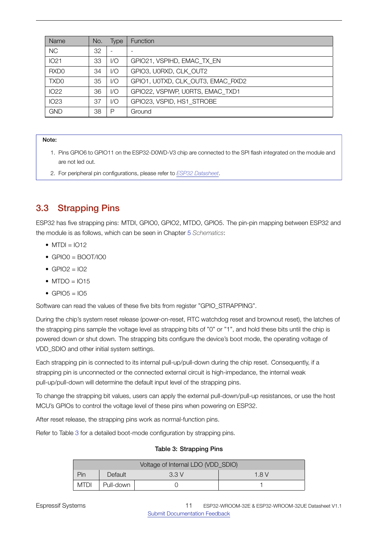| Name             | No. | Type          | <b>Function</b>                   |
|------------------|-----|---------------|-----------------------------------|
| <b>NC</b>        | 32  |               |                                   |
| <b>IO21</b>      | 33  | 1/O           | GPIO21, VSPIHD, EMAC TX EN        |
| RXD <sub>0</sub> | 34  | 1/O           | GPIO3, U0RXD, CLK OUT2            |
| TXD <sub>0</sub> | 35  | $\mathcal{U}$ | GPIO1, UOTXD, CLK OUT3, EMAC RXD2 |
| <b>IO22</b>      | 36  | 1/O           | GPIO22, VSPIWP, U0RTS, EMAC TXD1  |
| <b>IO23</b>      | 37  | 1/O           | GPIO23, VSPID, HS1 STROBE         |
| <b>GND</b>       | 38  | P             | Ground                            |

- <span id="page-11-2"></span>1. Pins GPIO6 to GPIO11 on the ESP32-D0WD-V3 chip are connected to the SPI flash integrated on the module and are not led out.
- 2. For peripheral pin configurations, please refer to *[ESP32 Datasheet](https://www.espressif.com/sites/default/files/documentation/esp32_datasheet_en.pdf)*.

# <span id="page-11-0"></span>3.3 Strapping Pins

ESP32 has five strapping pins: MTDI, GPIO0, GPIO2, MTDO, GPIO5. The pin-pin mapping between ESP32 and the module is as follows, which can be seen in Chapter [5](#page-21-0) *Schematics*:

- $\bullet$  MTDI = IO12
- $\bullet$  GPIO0 = BOOT/IO0
- $\bullet$  GPIO2 = IO2
- $\bullet$  MTDO = IO15
- GPIO5 =  $105$

Software can read the values of these five bits from register "GPIO\_STRAPPING".

During the chip's system reset release (power-on-reset, RTC watchdog reset and brownout reset), the latches of the strapping pins sample the voltage level as strapping bits of "0" or "1", and hold these bits until the chip is powered down or shut down. The strapping bits configure the device's boot mode, the operating voltage of VDD\_SDIO and other initial system settings.

Each strapping pin is connected to its internal pull-up/pull-down during the chip reset. Consequently, if a strapping pin is unconnected or the connected external circuit is high-impedance, the internal weak pull-up/pull-down will determine the default input level of the strapping pins.

To change the strapping bit values, users can apply the external pull-down/pull-up resistances, or use the host MCU's GPIOs to control the voltage level of these pins when powering on ESP32.

After reset release, the strapping pins work as normal-function pins.

<span id="page-11-1"></span>Refer to Table [3](#page-11-1) for a detailed boot-mode configuration by strapping pins.

#### Table 3: Strapping Pins

| Voltage of Internal LDO (VDD_SDIO) |           |  |  |  |  |
|------------------------------------|-----------|--|--|--|--|
| Pin<br>Default<br>3.3V<br>1.8V     |           |  |  |  |  |
| <b>MTDI</b>                        | Pull-down |  |  |  |  |

[Submit Documentation Feedback](https://www.espressif.com/en/company/contact/documentation_feedback?docId=4528§ions=&version=1.1) ESP32-WROOM-32E & ESP32-WROOM-32UE Datasheet V1.1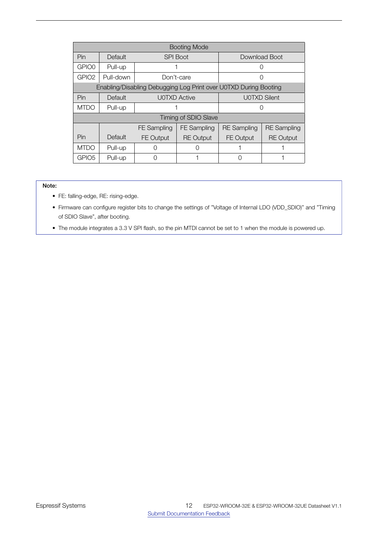| <b>Booting Mode</b> |           |                    |                             |                                                                  |  |  |
|---------------------|-----------|--------------------|-----------------------------|------------------------------------------------------------------|--|--|
| Pin                 | Default   |                    | <b>SPI Boot</b>             | Download Boot                                                    |  |  |
| GPIO0               | Pull-up   |                    |                             |                                                                  |  |  |
| GPIO <sub>2</sub>   | Pull-down |                    | Don't-care                  |                                                                  |  |  |
|                     |           |                    |                             | Enabling/Disabling Debugging Log Print over U0TXD During Booting |  |  |
| Pin                 | Default   |                    | <b>U0TXD Active</b>         | <b>U0TXD Silent</b>                                              |  |  |
| <b>MTDO</b>         | Pull-up   |                    |                             |                                                                  |  |  |
|                     |           |                    | <b>Timing of SDIO Slave</b> |                                                                  |  |  |
|                     |           | <b>FE</b> Sampling | <b>FE</b> Sampling          | <b>RE</b> Sampling<br><b>RE</b> Sampling                         |  |  |
| Pin                 | Default   | <b>FE Output</b>   | <b>RE</b> Output            | FE Output<br><b>RE Output</b>                                    |  |  |
| <b>MTDO</b>         | Pull-up   |                    | ( )                         |                                                                  |  |  |
| GPIO <sub>5</sub>   | Pull-up   | C                  |                             |                                                                  |  |  |

- FE: falling-edge, RE: rising-edge.
- Firmware can configure register bits to change the settings of "Voltage of Internal LDO (VDD\_SDIO)" and "Timing of SDIO Slave", after booting.
- The module integrates a 3.3 V SPI flash, so the pin MTDI cannot be set to 1 when the module is powered up.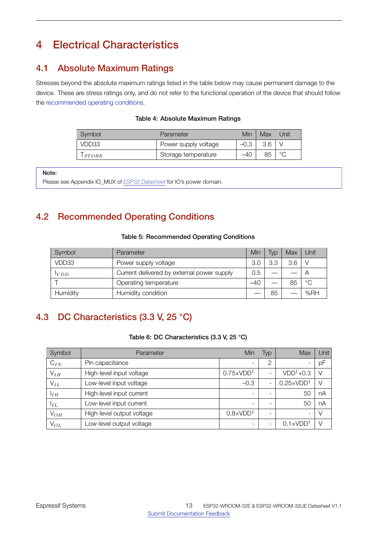# <span id="page-13-0"></span>4 Electrical Characteristics

# <span id="page-13-1"></span>4.1 Absolute Maximum Ratings

<span id="page-13-4"></span>Stresses beyond the absolute maximum ratings listed in the table below may cause permanent damage to the device. These are stress ratings only, and do not refer to the functional operation of the device that should follow the [recommended operating conditions.](#page-13-5)

| Table 4: Absolute Maximum Ratings |  |
|-----------------------------------|--|
|-----------------------------------|--|

| Symbol      | Parameter            | Min    | Max | Jnit    |
|-------------|----------------------|--------|-----|---------|
| VDD33       | Power supply voltage | $-0.3$ |     |         |
| $1$ $STORE$ | Storage temperature  | $-40$  | 85  | $\circ$ |

Note:

Please see Appendix IO\_MUX of *[ESP32 Datasheet](http://espressif.com/sites/default/files/documentation/esp32_datasheet_en.pdf)* for IO's power domain.

# <span id="page-13-5"></span><span id="page-13-2"></span>4.2 Recommended Operating Conditions

#### Table 5: Recommended Operating Conditions

| Symbol   | Parameter                                  | Min | Typ | Max | Unit        |
|----------|--------------------------------------------|-----|-----|-----|-------------|
| VDD33    | Power supply voltage                       |     | 3.3 | 3.6 |             |
| VDD      | Current delivered by external power supply | 0.5 |     |     |             |
|          | Operating temperature                      |     |     | 85  | $^{\circ}C$ |
| Humidity | Humidity condition                         |     | 85  |     | % $RH$      |

# <span id="page-13-6"></span><span id="page-13-3"></span>4.3 DC Characteristics (3.3 V, 25 °C)

#### Table 6: DC Characteristics (3.3 V, 25 °C)

| Symbol          | Parameter                 | Min                      | Typ                      | Max                | Unit   |
|-----------------|---------------------------|--------------------------|--------------------------|--------------------|--------|
| $C_{IN}$        | Pin capacitance           | $\overline{\phantom{a}}$ | 2                        | -                  | pF     |
| $V_{IH}$        | High-level input voltage  | $0.75 \times VDD1$       | ٠                        | $VDD1+0.3$         | $\vee$ |
| $V_{IL}$        | Low-level input voltage   | $-0.3$                   | ٠                        | $0.25 \times VDD1$ | $\vee$ |
| I <sub>IH</sub> | High-level input current  | -                        | -                        | 50                 | nA     |
| $I_L$           | Low-level input current   | $\overline{\phantom{a}}$ | $\overline{\phantom{a}}$ | 50                 | nA     |
| $V_{OH}$        | High-level output voltage | $0.8 \times VDD1$        |                          | -                  | V      |
| $V_{OL}$        | Low-level output voltage  |                          | $\overline{\phantom{a}}$ | $0.1 \times VDD1$  |        |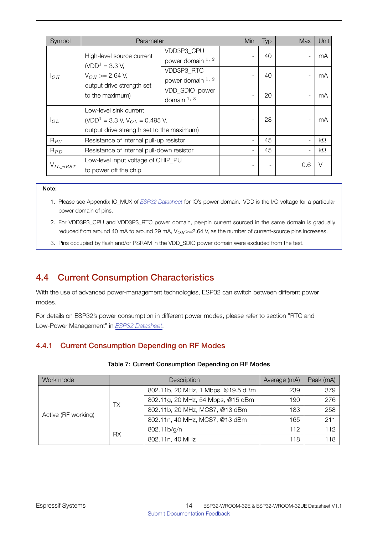| Symbol         | Parameter                                                                                                                    |                                   | Min | Typ | <b>Max</b>               | Unit      |
|----------------|------------------------------------------------------------------------------------------------------------------------------|-----------------------------------|-----|-----|--------------------------|-----------|
|                | High-level source current<br>$(VDD1 = 3.3 V,$                                                                                | VDD3P3 CPU<br>power domain $1, 2$ |     | 40  | $\overline{\phantom{a}}$ | mA        |
| $1_{OH}$       | $V_{OH}$ >= 2.64 V,<br>output drive strength set                                                                             | VDD3P3 RTC<br>power domain $1, 2$ |     | 40  | ٠                        | mA        |
|                | to the maximum)                                                                                                              | VDD_SDIO power<br>domain $1, 3$   |     | 20  | ٠                        | mA        |
| $I_{OL}$       | Low-level sink current<br>(VDD <sup>1</sup> = 3.3 V, V <sub>OL</sub> = 0.495 V,<br>output drive strength set to the maximum) |                                   |     | 28  | ٠                        | mA        |
| $R_{PU}$       | Resistance of internal pull-up resistor                                                                                      |                                   |     | 45  | ÷,                       | $k\Omega$ |
| $R_{PD}$       | Resistance of internal pull-down resistor                                                                                    |                                   |     | 45  | ٠                        | $k\Omega$ |
| $V_{IL\_nRST}$ | Low-level input voltage of CHIP_PU<br>to power off the chip                                                                  |                                   |     |     | 0.6                      | $\vee$    |

- 1. Please see Appendix IO\_MUX of *[ESP32 Datasheet](http://espressif.com/sites/default/files/documentation/esp32_datasheet_en.pdf)* for IO's power domain. VDD is the I/O voltage for a particular power domain of pins.
- 2. For VDD3P3\_CPU and VDD3P3\_RTC power domain, per-pin current sourced in the same domain is gradually reduced from around 40 mA to around 29 mA, V<sub>OH</sub>>=2.64 V, as the number of current-source pins increases.
- 3. Pins occupied by flash and/or PSRAM in the VDD\_SDIO power domain were excluded from the test.

# <span id="page-14-0"></span>4.4 Current Consumption Characteristics

With the use of advanced power-management technologies, ESP32 can switch between different power modes.

For details on ESP32's power consumption in different power modes, please refer to section "RTC and Low-Power Management" in *[ESP32 Datasheet](http://espressif.com/sites/default/files/documentation/esp32_datasheet_en.pdf)*.

### <span id="page-14-2"></span><span id="page-14-1"></span>4.4.1 Current Consumption Depending on RF Modes

| Work mode           | <b>Description</b> |                                    | Average (mA) | Peak (mA) |
|---------------------|--------------------|------------------------------------|--------------|-----------|
|                     | TX                 | 802.11b, 20 MHz, 1 Mbps, @19.5 dBm | 239          | 379       |
|                     |                    | 802.11g, 20 MHz, 54 Mbps, @15 dBm  | 190          | 276       |
| Active (RF working) |                    | 802.11b, 20 MHz, MCS7, @13 dBm     | 183          | 258       |
|                     |                    | 802.11n, 40 MHz, MCS7, @13 dBm     | 165          | 211       |
|                     | RX.                | 802.11b/g/n                        | 112          | 112       |
|                     |                    | 802.11n, 40 MHz                    | 118          | 118       |

#### Table 7: Current Consumption Depending on RF Modes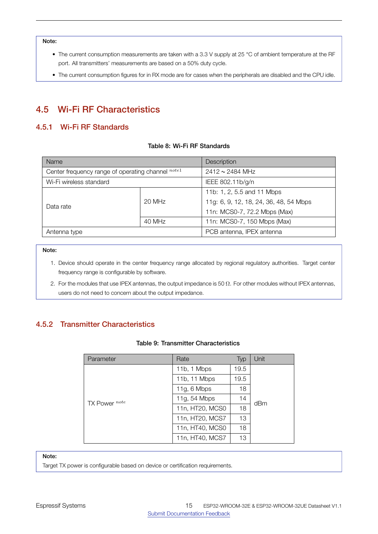- The current consumption measurements are taken with a 3.3 V supply at 25 °C of ambient temperature at the RF port. All transmitters' measurements are based on a 50% duty cycle.
- The current consumption figures for in RX mode are for cases when the peripherals are disabled and the CPU idle.

# <span id="page-15-0"></span>4.5 Wi-Fi RF Characteristics

### <span id="page-15-4"></span><span id="page-15-1"></span>4.5.1 Wi-Fi RF Standards

#### Table 8: Wi-Fi RF Standards

| Name                                              |        | Description                            |  |  |
|---------------------------------------------------|--------|----------------------------------------|--|--|
| Center frequency range of operating channel note1 |        | $2412 \sim 2484$ MHz                   |  |  |
| Wi-Fi wireless standard                           |        | IEEE 802.11b/g/n                       |  |  |
|                                                   |        | 11b: 1, 2, 5.5 and 11 Mbps             |  |  |
| Data rate                                         | 20 MHz | 11g: 6, 9, 12, 18, 24, 36, 48, 54 Mbps |  |  |
|                                                   |        | 11n: MCS0-7, 72.2 Mbps (Max)           |  |  |
|                                                   | 40 MHz | 11n: MCS0-7, 150 Mbps (Max)            |  |  |
| Antenna type                                      |        | PCB antenna, IPEX antenna              |  |  |

#### Note:

- 1. Device should operate in the center frequency range allocated by regional regulatory authorities. Target center frequency range is configurable by software.
- 2. For the modules that use IPEX antennas, the output impedance is 50  $\Omega$ . For other modules without IPEX antennas, users do not need to concern about the output impedance.

### <span id="page-15-5"></span><span id="page-15-2"></span>4.5.2 Transmitter Characteristics

#### Table 9: Transmitter Characteristics

| Parameter     | Rate            | Typ  | Unit |
|---------------|-----------------|------|------|
|               | 11b, 1 Mbps     | 19.5 |      |
|               | 11b, 11 Mbps    | 19.5 |      |
|               | 11g, $6$ Mbps   | 18   |      |
| TX Power note | 11g, 54 Mbps    | 14   | dBm  |
|               | 11n, HT20, MCS0 | 18   |      |
|               | 11n, HT20, MCS7 | 13   |      |
|               | 11n, HT40, MCS0 | 18   |      |
|               | 11n, HT40, MCS7 | 13   |      |

#### Note:

<span id="page-15-3"></span>Target TX power is configurable based on device or certification requirements.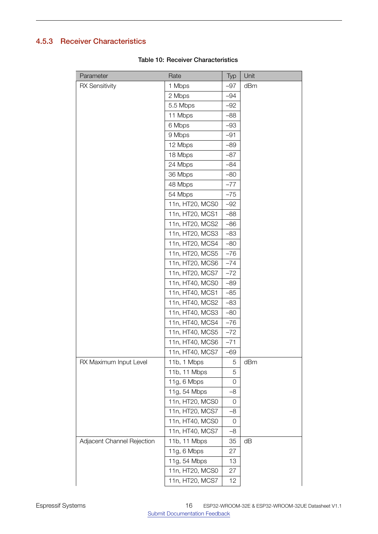# <span id="page-16-0"></span>4.5.3 Receiver Characteristics

| Parameter                  | Rate            | Typ   | Unit |
|----------------------------|-----------------|-------|------|
| <b>RX Sensitivity</b>      | 1 Mbps          | $-97$ | dBm  |
|                            | 2 Mbps          | $-94$ |      |
|                            | 5.5 Mbps        | $-92$ |      |
|                            | 11 Mbps         | $-88$ |      |
|                            | 6 Mbps          | $-93$ |      |
|                            | 9 Mbps          | $-91$ |      |
|                            | 12 Mbps         | $-89$ |      |
|                            | 18 Mbps         | $-87$ |      |
|                            | 24 Mbps         | $-84$ |      |
|                            | 36 Mbps         | $-80$ |      |
|                            | 48 Mbps         | $-77$ |      |
|                            | 54 Mbps         | $-75$ |      |
|                            | 11n, HT20, MCS0 | $-92$ |      |
|                            | 11n, HT20, MCS1 | $-88$ |      |
|                            | 11n, HT20, MCS2 | $-86$ |      |
|                            | 11n, HT20, MCS3 | $-83$ |      |
|                            | 11n, HT20, MCS4 | $-80$ |      |
|                            | 11n, HT20, MCS5 | $-76$ |      |
|                            | 11n, HT20, MCS6 | $-74$ |      |
|                            | 11n, HT20, MCS7 | $-72$ |      |
|                            | 11n, HT40, MCS0 | $-89$ |      |
|                            | 11n, HT40, MCS1 | $-85$ |      |
|                            | 11n, HT40, MCS2 | $-83$ |      |
|                            | 11n, HT40, MCS3 | $-80$ |      |
|                            | 11n, HT40, MCS4 | $-76$ |      |
|                            | 11n, HT40, MCS5 | $-72$ |      |
|                            | 11n, HT40, MCS6 | $-71$ |      |
|                            | 11n, HT40, MCS7 | -69   |      |
| RX Maximum Input Level     | 11b, 1 Mbps     | 5     | dBm  |
|                            | 11b, 11 Mbps    | 5     |      |
|                            | 11g, 6 Mbps     | 0     |      |
|                            | 11g, 54 Mbps    | $-8$  |      |
|                            | 11n, HT20, MCS0 | 0     |      |
|                            | 11n, HT20, MCS7 | $-8$  |      |
|                            | 11n, HT40, MCS0 | 0     |      |
|                            | 11n, HT40, MCS7 | $-8$  |      |
| Adjacent Channel Rejection | 11b, 11 Mbps    | 35    | dB   |
|                            | 11g, 6 Mbps     | 27    |      |
|                            | 11g, 54 Mbps    | 13    |      |
|                            | 11n, HT20, MCS0 | 27    |      |
|                            | 11n, HT20, MCS7 | 12    |      |

#### Table 10: Receiver Characteristics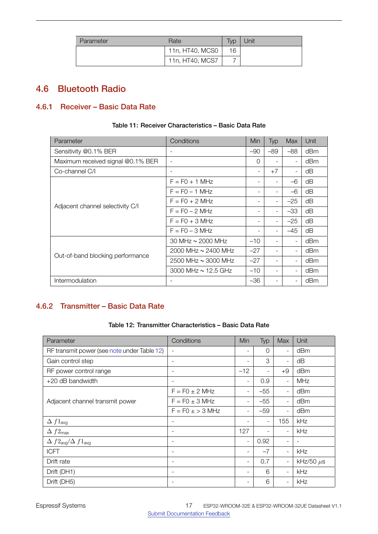| Parameter | Rate            | $T_V p$ | Unit |
|-----------|-----------------|---------|------|
|           | 11n, HT40, MCS0 | 16      |      |
|           | 11n, HT40, MCS7 |         |      |

# <span id="page-17-0"></span>4.6 Bluetooth Radio

# <span id="page-17-3"></span><span id="page-17-1"></span>4.6.1 Receiver – Basic Data Rate

| Parameter                         | Conditions               | Min      | Typ   | <b>Max</b>               | Unit |
|-----------------------------------|--------------------------|----------|-------|--------------------------|------|
| Sensitivity @0.1% BER             |                          | $-90$    | $-89$ | $-88$                    | dBm  |
| Maximum received signal @0.1% BER | $\overline{\phantom{a}}$ | $\Omega$ |       | $\overline{\phantom{a}}$ | dBm  |
| Co-channel C/I                    |                          | ۰        | $+7$  | $\overline{\phantom{a}}$ | dΒ   |
|                                   | $F = FO + 1 MHz$         |          |       | $-6$                     | dΒ   |
|                                   | $F = FO - 1 MHz$         | -        |       | $-6$                     | dΒ   |
|                                   | $F = F0 + 2 MHz$         |          |       | $-25$                    | dB   |
| Adjacent channel selectivity C/I  | $F = F0 - 2 MHz$         | -        |       | $-33$                    | dB   |
|                                   | $F = FO + 3 MHz$         | -        |       | $-25$                    | dΒ   |
|                                   | $F = FO - 3 MHz$         |          |       | $-45$                    | dB   |
|                                   | 30 MHz $\sim$ 2000 MHz   | $-10$    |       | $\overline{\phantom{a}}$ | dBm  |
| Out-of-band blocking performance  | 2000 MHz ~ 2400 MHz      | $-27$    |       | $\overline{\phantom{a}}$ | dBm  |
|                                   | 2500 MHz $\sim$ 3000 MHz | $-27$    |       | $\overline{\phantom{a}}$ | dBm  |
|                                   | 3000 MHz $\sim$ 12.5 GHz | $-10$    |       | $\overline{\phantom{a}}$ | dBm  |
| Intermodulation                   |                          | -36      |       | $\overline{\phantom{a}}$ | dBm  |

#### Table 11: Receiver Characteristics – Basic Data Rate

# <span id="page-17-4"></span><span id="page-17-2"></span>4.6.2 Transmitter – Basic Data Rate

#### Table 12: Transmitter Characteristics – Basic Data Rate

| Parameter                                       | Conditions               | Min                      | Typ      | Max                      | Unit           |
|-------------------------------------------------|--------------------------|--------------------------|----------|--------------------------|----------------|
| RF transmit power (see note under Table 12)     | $\overline{\phantom{a}}$ | $\overline{\phantom{a}}$ | $\Omega$ | $\overline{\phantom{a}}$ | dBm            |
| Gain control step                               | $\overline{\phantom{a}}$ | $\overline{\phantom{a}}$ | 3        | $\overline{\phantom{a}}$ | dB             |
| RF power control range                          |                          | $-12$                    |          | $+9$                     | dBm            |
| +20 dB bandwidth                                | $\overline{\phantom{a}}$ | $\overline{\phantom{a}}$ | 0.9      | $\overline{\phantom{a}}$ | MHz            |
|                                                 | $F = F0 \pm 2$ MHz       | $\overline{\phantom{a}}$ | $-55$    | $\overline{\phantom{a}}$ | dBm            |
| Adjacent channel transmit power                 | $F = F0 \pm 3$ MHz       | $\overline{\phantom{a}}$ | $-55$    | $\overline{\phantom{a}}$ | dBm            |
|                                                 | $F = F0 \pm 3$ MHz       | $\overline{\phantom{a}}$ | $-59$    | $\overline{\phantom{a}}$ | dBm            |
| $\Delta f1_{avg}$                               | $\overline{\phantom{a}}$ | $\overline{\phantom{a}}$ | ۰        | 155                      | kHz            |
| $\Delta f2_{\text{max}}$                        | $\overline{\phantom{a}}$ | 127                      |          | $\overline{\phantom{0}}$ | kHz            |
| $\Delta f2_{\text{avg}}/\Delta f1_{\text{avg}}$ | $\overline{\phantom{a}}$ | $\overline{\phantom{a}}$ | 0.92     | $\blacksquare$           |                |
| <b>ICFT</b>                                     | $\overline{\phantom{a}}$ | $\overline{\phantom{a}}$ | $-7$     | $\overline{\phantom{a}}$ | kHz            |
| Drift rate                                      | $\overline{\phantom{a}}$ | $\overline{\phantom{a}}$ | 0.7      | $\overline{\phantom{a}}$ | kHz/50 $\mu$ s |
| Drift (DH1)                                     | $\overline{\phantom{a}}$ | $\overline{\phantom{a}}$ | 6        | $\overline{\phantom{m}}$ | kHz            |
| Drift (DH5)                                     | $\overline{\phantom{a}}$ | $\overline{\phantom{a}}$ | 6        | $\overline{\phantom{a}}$ | kHz            |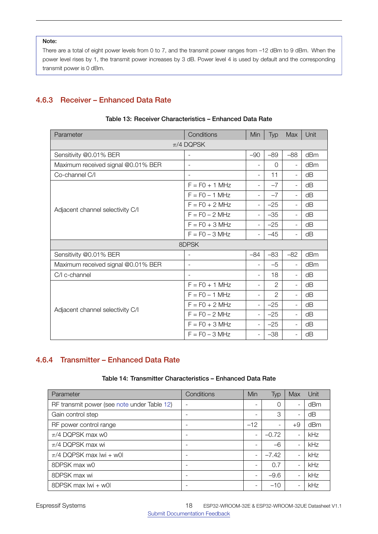There are a total of eight power levels from 0 to 7, and the transmit power ranges from –12 dBm to 9 dBm. When the power level rises by 1, the transmit power increases by 3 dB. Power level 4 is used by default and the corresponding transmit power is 0 dBm.

### <span id="page-18-2"></span><span id="page-18-0"></span>4.6.3 Receiver – Enhanced Data Rate

| Parameter                          | Conditions               | <b>Min</b>               | Typ            | <b>Max</b>               | Unit |
|------------------------------------|--------------------------|--------------------------|----------------|--------------------------|------|
|                                    | $\pi$ /4 DQPSK           |                          |                |                          |      |
| Sensitivity @0.01% BER             |                          | $-90$                    | $-89$          | $-88$                    | dBm  |
| Maximum received signal @0.01% BER |                          | $\overline{\phantom{0}}$ | $\Omega$       | $\overline{\phantom{a}}$ | dBm  |
| Co-channel C/I                     | $\overline{\phantom{a}}$ | $\overline{\phantom{0}}$ | 11             | $\blacksquare$           | dB   |
| Adjacent channel selectivity C/I   | $F = F0 + 1$ MHz         | $\overline{\phantom{0}}$ | $-7$           | $\overline{\phantom{a}}$ | dB   |
|                                    | $F = FO - 1 MHz$         | $\overline{\phantom{0}}$ | $-7$           | $\overline{\phantom{a}}$ | dB   |
|                                    | $F = F0 + 2 MHz$         | $\overline{\phantom{0}}$ | $-25$          | $\blacksquare$           | dB   |
|                                    | $F = F0 - 2 MHz$         | $\overline{\phantom{0}}$ | $-35$          | $\blacksquare$           | dB   |
|                                    | $F = FO + 3 MHz$         | $\overline{\phantom{0}}$ | $-25$          | $\overline{\phantom{a}}$ | dB   |
|                                    | $F = F0 - 3 MHz$         | $\overline{\phantom{0}}$ | $-45$          | $\overline{\phantom{a}}$ | dB   |
|                                    | 8DPSK                    |                          |                |                          |      |
| Sensitivity @0.01% BER             | $\qquad \qquad -$        | $-84$                    | $-83$          | $-82$                    | dBm  |
| Maximum received signal @0.01% BER | $\overline{\phantom{a}}$ | $\overline{\phantom{0}}$ | $-5$           | $\overline{\phantom{a}}$ | dBm  |
| C/I c-channel                      | $\overline{\phantom{a}}$ | $\overline{\phantom{0}}$ | 18             | $\overline{\phantom{a}}$ | dB   |
|                                    | $F = F0 + 1$ MHz         | $\overline{\phantom{0}}$ | $\mathbf{2}$   | $\overline{\phantom{a}}$ | dB   |
|                                    | $F = FO - 1 MHz$         | $\overline{\phantom{0}}$ | $\mathfrak{D}$ | $\overline{\phantom{a}}$ | dB   |
|                                    | $F = F0 + 2 MHz$         | $\overline{\phantom{0}}$ | $-25$          | $\overline{\phantom{a}}$ | dB   |
| Adjacent channel selectivity C/I   | $F = FO - 2 MHz$         | $\overline{\phantom{0}}$ | $-25$          | $\blacksquare$           | dB   |
|                                    | $F = F0 + 3 MHz$         | $\overline{\phantom{0}}$ | $-25$          | $\overline{\phantom{a}}$ | dB   |
|                                    | $F = FO - 3 MHz$         | $\overline{\phantom{0}}$ | $-38$          | $\blacksquare$           | dB   |

#### Table 13: Receiver Characteristics – Enhanced Data Rate

### <span id="page-18-3"></span><span id="page-18-1"></span>4.6.4 Transmitter – Enhanced Data Rate

#### Table 14: Transmitter Characteristics – Enhanced Data Rate

| Parameter                                   | Conditions               | Min                      | <b>Typ</b>               | Max                      | Unit |
|---------------------------------------------|--------------------------|--------------------------|--------------------------|--------------------------|------|
| RF transmit power (see note under Table 12) |                          |                          | 0                        | $\blacksquare$           | dBm  |
| Gain control step                           |                          |                          | 3                        | $\overline{\phantom{a}}$ | dB   |
| RF power control range                      | $\overline{\phantom{0}}$ | $-12$                    | $\overline{\phantom{0}}$ | $+9$                     | dBm  |
| $\pi$ /4 DQPSK max w0                       |                          | $\overline{\phantom{0}}$ | $-0.72$                  | $\blacksquare$           | kHz  |
| $\pi$ /4 DQPSK max wi                       |                          | $\overline{\phantom{0}}$ | $-6$                     | $\overline{\phantom{a}}$ | kHz  |
| $\pi$ /4 DQPSK max lwi + w0l                | -                        | $\overline{\phantom{a}}$ | $-7.42$                  | $\overline{\phantom{a}}$ | kHz  |
| 8DPSK max w0                                |                          |                          | 0.7                      | $\blacksquare$           | kHz  |
| 8DPSK max wi                                | $\overline{\phantom{0}}$ | $\overline{\phantom{0}}$ | $-9.6$                   | $\blacksquare$           | kHz  |
| 8DPSK max lwi + w0l                         |                          |                          | $-10$                    | $\blacksquare$           | kHz  |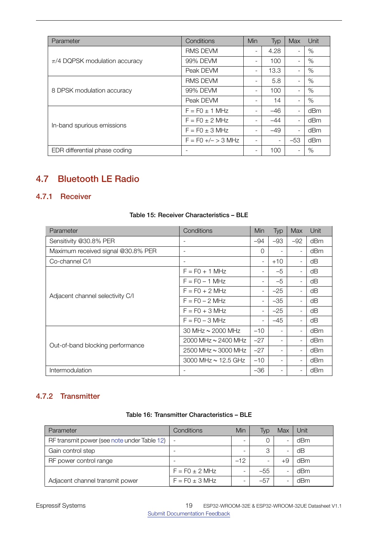| Parameter                          | Conditions           | Min                      | <b>Typ</b> | Max                      | Unit |
|------------------------------------|----------------------|--------------------------|------------|--------------------------|------|
|                                    | <b>RMS DEVM</b>      | $\overline{\phantom{0}}$ | 4.28       | $\overline{\phantom{a}}$ | $\%$ |
| $\pi$ /4 DQPSK modulation accuracy | 99% DEVM             |                          | 100        | $\blacksquare$           | $\%$ |
|                                    | Peak DEVM            |                          | 13.3       | $\overline{\phantom{a}}$ | %    |
| 8 DPSK modulation accuracy         | <b>RMS DEVM</b>      |                          | 5.8        | $\blacksquare$           | $\%$ |
|                                    | 99% DEVM             |                          | 100        | $\overline{\phantom{a}}$ | $\%$ |
|                                    | Peak DEVM            |                          | 14         | $\overline{\phantom{a}}$ | $\%$ |
|                                    | $F = F0 \pm 1$ MHz   |                          | $-46$      | $\overline{\phantom{0}}$ | dBm  |
|                                    | $F = F0 \pm 2$ MHz   |                          | $-44$      | $\overline{\phantom{a}}$ | dBm  |
| In-band spurious emissions         | $F = F0 \pm 3$ MHz   |                          | $-49$      | $\overline{\phantom{a}}$ | dBm  |
|                                    | $F = FO +/- > 3 MHz$ |                          |            | $-53$                    | dBm  |
| EDR differential phase coding      |                      |                          | 100        | $\overline{\phantom{0}}$ | %    |

# <span id="page-19-0"></span>4.7 Bluetooth LE Radio

### <span id="page-19-3"></span><span id="page-19-1"></span>4.7.1 Receiver

| Parameter                          | Conditions                 | Min                      | Typ   | Max                      | Unit |
|------------------------------------|----------------------------|--------------------------|-------|--------------------------|------|
| Sensitivity @30.8% PER             | $\overline{\phantom{a}}$   | -94                      | $-93$ | $-92$                    | dBm  |
| Maximum received signal @30.8% PER | $\overline{\phantom{a}}$   | 0                        |       | $\overline{\phantom{a}}$ | dBm  |
| Co-channel C/I                     | $\overline{\phantom{a}}$   | $\overline{\phantom{a}}$ | $+10$ | $\overline{\phantom{a}}$ | dB   |
| Adjacent channel selectivity C/I   | $F = FO + 1 MHz$           |                          | $-5$  |                          | dΒ   |
|                                    | $F = FO - 1 MHz$           | $\overline{\phantom{a}}$ | $-5$  | $\overline{\phantom{a}}$ | dΒ   |
|                                    | $F = F0 + 2 MHz$           | $\overline{\phantom{a}}$ | $-25$ | $\overline{\phantom{a}}$ | dΒ   |
|                                    | $F = FO - 2 MHz$           | $\overline{\phantom{a}}$ | $-35$ | $\blacksquare$           | dB   |
|                                    | $F = FO + 3 MHz$           |                          | $-25$ | $\overline{\phantom{a}}$ | dΒ   |
|                                    | $F = FO - 3 MHz$           |                          | $-45$ | $\blacksquare$           | dB   |
| Out-of-band blocking performance   | 30 MHz $\sim$ 2000 MHz     | $-10$                    |       | $\overline{\phantom{a}}$ | dBm  |
|                                    | 2000 MHz $\sim$ 2400 MHz   | $-27$                    |       | $\overline{\phantom{a}}$ | dBm  |
|                                    | $2500$ MHz $\sim$ 3000 MHz | $-27$                    | ٠     | $\overline{\phantom{a}}$ | dBm  |
|                                    | 3000 MHz $\sim$ 12.5 GHz   | $-10$                    | ٠     | $\blacksquare$           | dBm  |
| Intermodulation                    |                            | $-36$                    | ٠     | $\overline{\phantom{a}}$ | dBm  |

#### Table 15: Receiver Characteristics – BLE

# <span id="page-19-4"></span><span id="page-19-2"></span>4.7.2 Transmitter

#### Table 16: Transmitter Characteristics – BLE

| Parameter                                   | Conditions               | Min   | Typ   | Max | Unit |
|---------------------------------------------|--------------------------|-------|-------|-----|------|
| RF transmit power (see note under Table 12) | $\overline{\phantom{a}}$ |       |       |     | dBm  |
| Gain control step                           | $\overline{\phantom{0}}$ |       | 3     |     | dB   |
| RF power control range                      | -                        | $-12$ |       | +9  | dBm  |
|                                             | $F = F0 \pm 2$ MHz       |       | $-55$ |     | dBm  |
| Adjacent channel transmit power             | $F = F0 \pm 3$ MHz       |       | $-57$ |     | dBm  |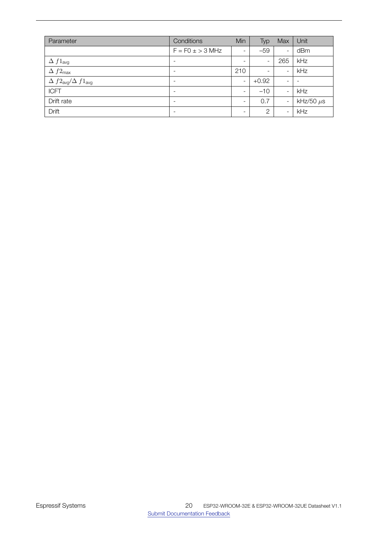| Parameter                                       | Conditions               | Min                      | Typ                      | Max                      | Unit           |
|-------------------------------------------------|--------------------------|--------------------------|--------------------------|--------------------------|----------------|
|                                                 | $F = F0 \pm 3$ MHz       | $\overline{\phantom{a}}$ | $-59$                    | $\overline{\phantom{a}}$ | dBm            |
| $\Delta f1_{\text{avg}}$                        | $\overline{\phantom{0}}$ | $\overline{\phantom{0}}$ | $\overline{\phantom{a}}$ | 265                      | kHz            |
| $\Delta f2_{\text{max}}$                        | $\overline{\phantom{0}}$ | 210                      | $\overline{\phantom{a}}$ | $\overline{\phantom{a}}$ | kHz            |
| $\Delta f2_{\text{avg}}/\Delta f1_{\text{avg}}$ | $\overline{\phantom{0}}$ | $\overline{\phantom{a}}$ | $+0.92$                  | $\overline{\phantom{0}}$ |                |
| <b>ICFT</b>                                     | $\overline{\phantom{0}}$ | $\blacksquare$           | $-10$                    | $\overline{\phantom{a}}$ | kHz            |
| Drift rate                                      | $\overline{\phantom{0}}$ | $\overline{\phantom{0}}$ | 0.7                      | $\overline{\phantom{a}}$ | kHz/50 $\mu$ s |
| Drift                                           | $\overline{\phantom{0}}$ | $\overline{\phantom{0}}$ | $\overline{2}$           | $\overline{\phantom{a}}$ | kHz            |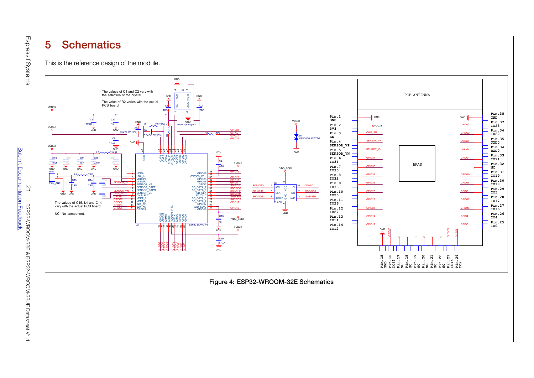#### 5**Schematics**

This is the reference design of the module.



<span id="page-21-1"></span><span id="page-21-0"></span>Figure 4: ESP32-WROOM-32E Schematics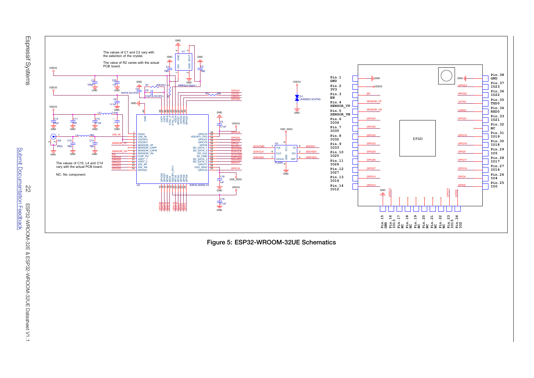





<span id="page-22-0"></span>Figure 5: ESP32-WROOM-32UE Schematics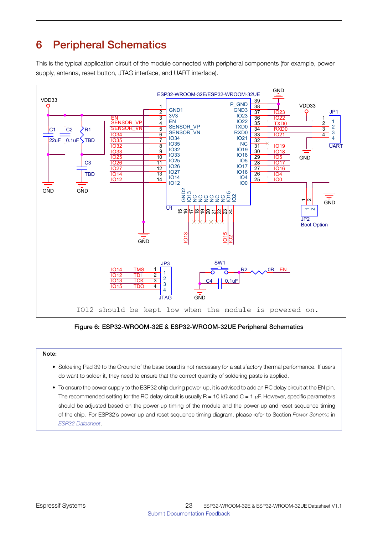# <span id="page-23-0"></span>6 Peripheral Schematics

<span id="page-23-1"></span>This is the typical application circuit of the module connected with peripheral components (for example, power supply, antenna, reset button, JTAG interface, and UART interface).



Figure 6: ESP32-WROOM-32E & ESP32-WROOM-32UE Peripheral Schematics

#### Note:

- Soldering Pad 39 to the Ground of the base board is not necessary for a satisfactory thermal performance. If users do want to solder it, they need to ensure that the correct quantity of soldering paste is applied.
- A A • To ensure the power supply to the ESP32 chip during power-up, it is advised to add an RC delay circuit at the EN pin. The recommended setting for the RC delay circuit is usually R = 10 kΩ and C = 1 *µ*F. However, specific parameters should be adjusted based on the power-up timing of the module and the power-up and reset sequence timing of the chip. For ESP32's power-up and reset sequence timing diagram, please refer to Section *Power Scheme* in *[ESP32 Datasheet](http://espressif.com/sites/default/files/documentation/esp32_datasheet_en.pdf)*.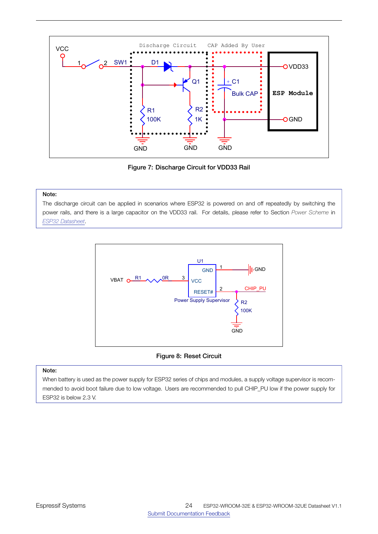<span id="page-24-1"></span>

Figure 7: Discharge Circuit for VDD33 Rail

<span id="page-24-2"></span>The discharge circuit can be applied in scenarios where ESP32 is powered on and off repeatedly by switching the power rails, and there is a large capacitor on the VDD33 rail. For details, please refer to Section *Power Scheme* in *[ESP32 Datasheet](http://espressif.com/sites/default/files/documentation/esp32_datasheet_en.pdf)*.



#### Figure 8: Reset Circuit

#### <span id="page-24-0"></span>Note:

When battery is used as the power supply for ESP32 series of chips and modules, a supply voltage supervisor is recommended to avoid boot failure due to low voltage. Users are recommended to pull CHIP\_PU low if the power supply for ESP32 is below 2.3 V.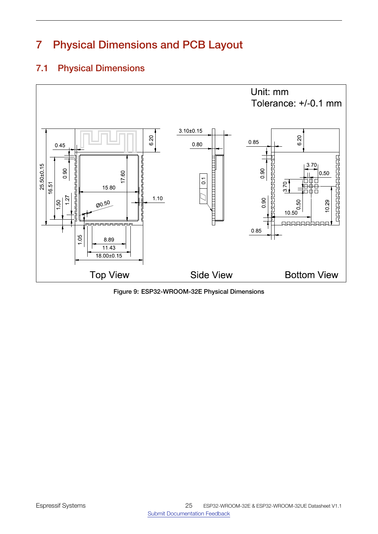# 7 Physical Dimensions and PCB Layout

# <span id="page-25-1"></span> $\frac{25.50 \pm 0.15}{16.51}$ <br>16.51 18.00±0.15 11.43 16.51<br>
1.50<br>
1.50<br>
1.50<br>
1.50<br>
15.80<br>
15.80<br>
15.80<br>
15.80<br>
15.80<br>
15.80<br>
15.80<br>
15.80<br>
15.80<br>
15.80<br>
15.80<br>
20.50<br>
20.50<br>
8.89  $\begin{array}{c} 66 \\ 15.80 \end{array}$ 1.27<br>
Martin 15.80<br>
20.50<br>
20.50<br>
20.50<br>
20.50 0.45 0.85 0.90 10.50 10.29  $\begin{tabular}{c} 3.70 \put(0.50) {\put(0.50) {\line(0.50) {\line(0.50) {\line(0.50) {\line(0.50) {\line(0.50) {\line(0.50) {\line(0.50) {\line(0.50) {\line(0.50) {\line(0.50) {\line(0.50) {\line(0.50) {\line(0.50) {\line(0.50) {\line(0.50) {\line(0.50) {\line(0.50) {\line(0.50) {\line(0.50) {\line(0.50) {\line(0.50) {\line(0.50) {\line(0.50) {\line(0.50$ 3.70 0.50 0.50 6.20 6.20 Unit: mm Tolerance: +/-0.1 mm 3.10±0.15 0.80  $\frac{16}{2}$   $\frac{8.89}{2}$ 1.10 Top View Side View Bottom View 0.90 0.85  $\frac{|D|}{\sqrt{2}}$  0.1

# <span id="page-25-0"></span>7.1 Physical Dimensions

Figure 9: ESP32-WROOM-32E Physical Dimensions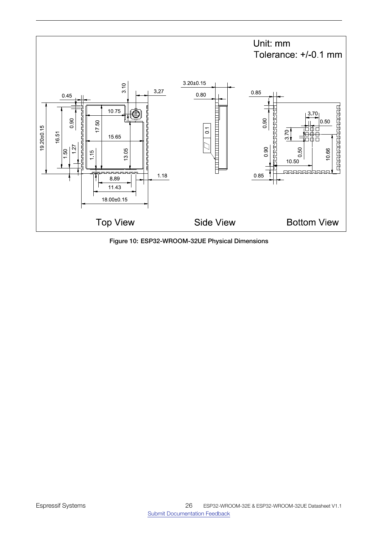<span id="page-26-0"></span>

Figure 10: ESP32-WROOM-32UE Physical Dimensions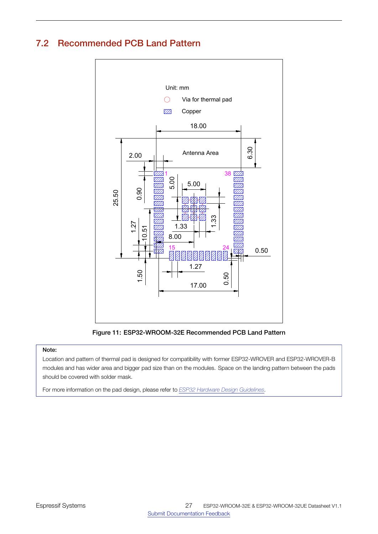# <span id="page-27-1"></span><span id="page-27-0"></span>7.2 Recommended PCB Land Pattern



Figure 11: ESP32-WROOM-32E Recommended PCB Land Pattern

#### Note:

Location and pattern of thermal pad is designed for compatibility with former ESP32-WROVER and ESP32-WROVER-B modules and has wider area and bigger pad size than on the modules. Space on the landing pattern between the pads should be covered with solder mask.

For more information on the pad design, please refer to *[ESP32 Hardware Design Guidelines](https://www.espressif.com/sites/default/files/documentation/esp32_hardware_design_guidelines_en.pdf)*.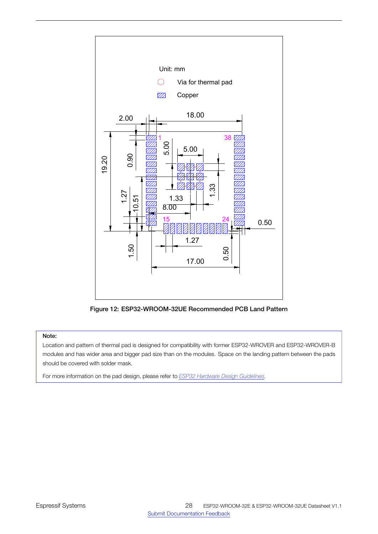<span id="page-28-0"></span>

Figure 12: ESP32-WROOM-32UE Recommended PCB Land Pattern

Location and pattern of thermal pad is designed for compatibility with former ESP32-WROVER and ESP32-WROVER-B modules and has wider area and bigger pad size than on the modules. Space on the landing pattern between the pads should be covered with solder mask.

For more information on the pad design, please refer to *[ESP32 Hardware Design Guidelines](https://www.espressif.com/sites/default/files/documentation/esp32_hardware_design_guidelines_en.pdf)*.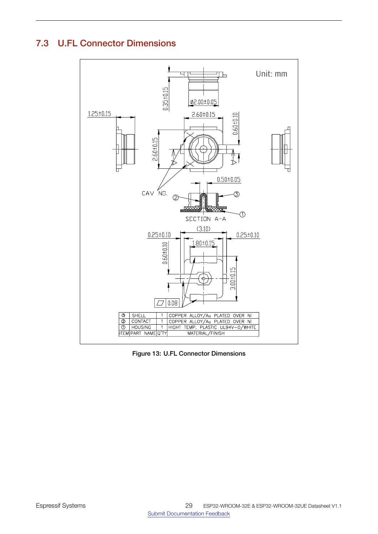# <span id="page-29-1"></span><span id="page-29-0"></span>7.3 U.FL Connector Dimensions



Figure 13: U.FL Connector Dimensions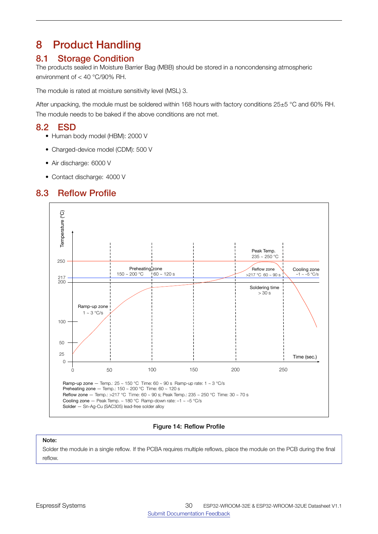# <span id="page-30-0"></span>8 Product Handling

# <span id="page-30-1"></span>8.1 Storage Condition

The products sealed in Moisture Barrier Bag (MBB) should be stored in a noncondensing atmospheric environment of < 40 °C/90% RH.

The module is rated at moisture sensitivity level (MSL) 3.

<span id="page-30-2"></span>After unpacking, the module must be soldered within 168 hours with factory conditions 25±5 °C and 60% RH. The module needs to be baked if the above conditions are not met.

# 8.2 ESD

- Human body model (HBM): 2000 V
- Charged-device model (CDM): 500 V
- Air discharge: 6000 V
- <span id="page-30-3"></span>• Contact discharge: 4000 V

# <span id="page-30-5"></span>8.3 Reflow Profile



Figure 14: Reflow Profile

Note:

<span id="page-30-4"></span>Solder the module in a single reflow. If the PCBA requires multiple reflows, place the module on the PCB during the final reflow.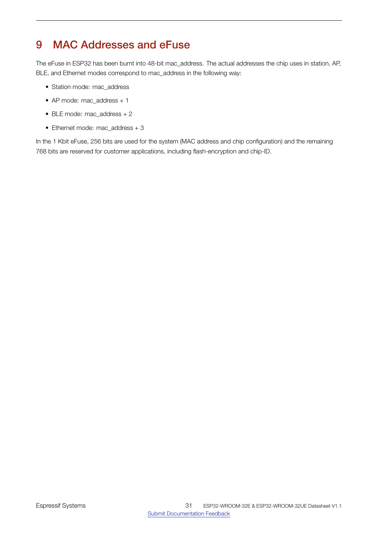# 9 MAC Addresses and eFuse

The eFuse in ESP32 has been burnt into 48-bit mac\_address. The actual addresses the chip uses in station, AP, BLE, and Ethernet modes correspond to mac\_address in the following way:

- Station mode: mac\_address
- AP mode: mac\_address + 1
- BLE mode: mac\_address + 2
- Ethernet mode: mac\_address + 3

<span id="page-31-0"></span>In the 1 Kbit eFuse, 256 bits are used for the system (MAC address and chip configuration) and the remaining 768 bits are reserved for customer applications, including flash-encryption and chip-ID.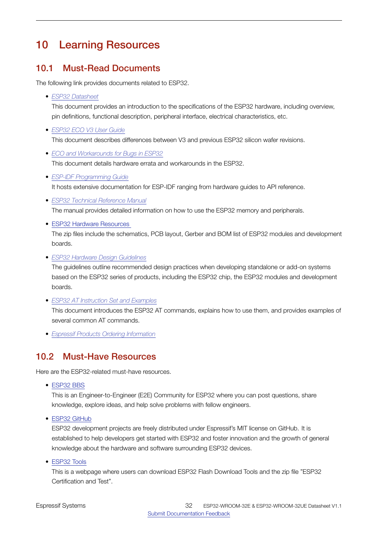# 10 Learning Resources

# <span id="page-32-1"></span>10.1 Must-Read Documents

The following link provides documents related to ESP32.

• *[ESP32 Datasheet](http://espressif.com/sites/default/files/documentation/esp32_datasheet_en.pdf)*

This document provides an introduction to the specifications of the ESP32 hardware, including overview, pin definitions, functional description, peripheral interface, electrical characteristics, etc.

• *[ESP32 ECO V3 User Guide](https://www.espressif.com/sites/default/files/documentation/ESP32_ECO_V3_User_Guide__EN.pdf)*

This document describes differences between V3 and previous ESP32 silicon wafer revisions.

- *[ECO and Workarounds for Bugs in ESP32](https://www.espressif.com/sites/default/files/documentation/eco_and_workarounds_for_bugs_in_esp32_en.pdf)* This document details hardware errata and workarounds in the ESP32.
- *[ESP-IDF Programming Guide](https://docs.espressif.com/projects/esp-idf/en/latest/)* It hosts extensive documentation for ESP-IDF ranging from hardware guides to API reference.
- *[ESP32 Technical Reference Manual](http://espressif.com/sites/default/files/documentation/esp32_technical_reference_manual_en.pdf)*

The manual provides detailed information on how to use the ESP32 memory and peripherals.

• ESP32 Hardware [Resources](http://espressif.com/en/support/download/documents?keys=reference+design)

The zip files include the schematics, PCB layout, Gerber and BOM list of ESP32 modules and development boards.

• *[ESP32 Hardware Design Guidelines](http://espressif.com/sites/default/files/documentation/esp32_hardware_design_guidelines_en.pdf)*

The guidelines outline recommended design practices when developing standalone or add-on systems based on the ESP32 series of products, including the ESP32 chip, the ESP32 modules and development boards.

• *[ESP32 AT Instruction Set and Examples](http://www.espressif.com/sites/default/files/documentation/esp32_at_instruction_set_and_examples_en.pdf)*

This document introduces the ESP32 AT commands, explains how to use them, and provides examples of several common AT commands.

<span id="page-32-0"></span>• *[Espressif Products Ordering Information](http://www.espressif.com/sites/default/files/documentation/espressif_products_ordering_information_en.pdf)*

# 10.2 Must-Have Resources

Here are the ESP32-related must-have resources.

• [ESP32](https://www.esp32.com) BBS

This is an Engineer-to-Engineer (E2E) Community for ESP32 where you can post questions, share knowledge, explore ideas, and help solve problems with fellow engineers.

• ESP32 [GitHub](https://github.com/espressif)

ESP32 development projects are freely distributed under Espressif's MIT license on GitHub. It is established to help developers get started with ESP32 and foster innovation and the growth of general knowledge about the hardware and software surrounding ESP32 devices.

• [ESP32](http://www.espressif.com/en/support/download/other-tools?keys=&field_type_tid%5B%5D=13) Tools

This is a webpage where users can download ESP32 Flash Download Tools and the zip file "ESP32 Certification and Test".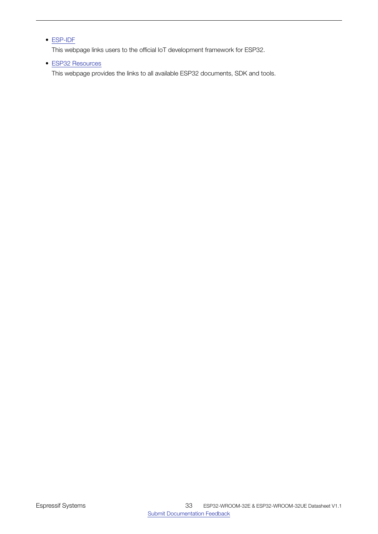### • [ESP-IDF](http://www.espressif.com/en/support/download/sdks-demos?keys=&field_type_tid%5B%5D=13)

This webpage links users to the official IoT development framework for ESP32.

### • ESP32 [Resources](http://www.espressif.com/en/products/hardware/esp32/resources)

This webpage provides the links to all available ESP32 documents, SDK and tools.